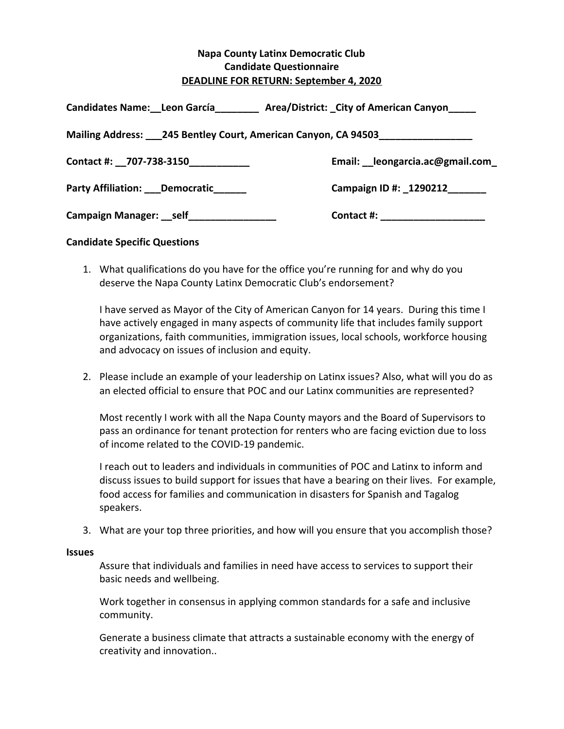## **Napa County Latinx Democratic Club Candidate Questionnaire DEADLINE FOR RETURN: September 4, 2020**

| <b>Candidates Name: Leon García</b>                            | Area/District: City of American Canyon |
|----------------------------------------------------------------|----------------------------------------|
| Mailing Address: 1245 Bentley Court, American Canyon, CA 94503 |                                        |
| Contact #: _707-738-3150___________                            | Email: __ leongarcia.ac@gmail.com      |
| Party Affiliation: ___ Democratic______                        | Campaign ID #: _1290212_______         |
| Campaign Manager: self ______________                          | Contact #: _____________________       |

## **Candidate Specific Questions**

1. What qualifications do you have for the office you're running for and why do you deserve the Napa County Latinx Democratic Club's endorsement?

I have served as Mayor of the City of American Canyon for 14 years. During this time I have actively engaged in many aspects of community life that includes family support organizations, faith communities, immigration issues, local schools, workforce housing and advocacy on issues of inclusion and equity.

2. Please include an example of your leadership on Latinx issues? Also, what will you do as an elected official to ensure that POC and our Latinx communities are represented?

Most recently I work with all the Napa County mayors and the Board of Supervisors to pass an ordinance for tenant protection for renters who are facing eviction due to loss of income related to the COVID-19 pandemic.

I reach out to leaders and individuals in communities of POC and Latinx to inform and discuss issues to build support for issues that have a bearing on their lives. For example, food access for families and communication in disasters for Spanish and Tagalog speakers.

3. What are your top three priorities, and how will you ensure that you accomplish those?

## **Issues**

Assure that individuals and families in need have access to services to support their basic needs and wellbeing.

Work together in consensus in applying common standards for a safe and inclusive community.

Generate a business climate that attracts a sustainable economy with the energy of creativity and innovation..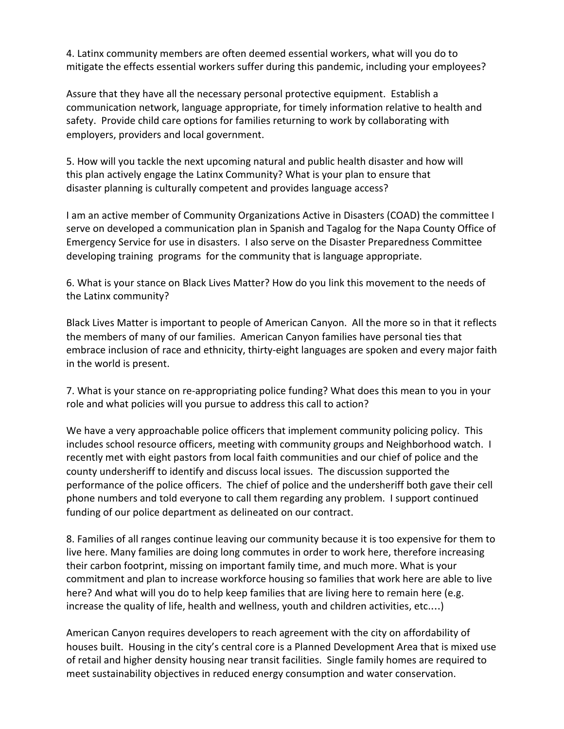4. Latinx community members are often deemed essential workers, what will you do to mitigate the effects essential workers suffer during this pandemic, including your employees?

Assure that they have all the necessary personal protective equipment. Establish a communication network, language appropriate, for timely information relative to health and safety. Provide child care options for families returning to work by collaborating with employers, providers and local government.

5. How will you tackle the next upcoming natural and public health disaster and how will this plan actively engage the Latinx Community? What is your plan to ensure that disaster planning is culturally competent and provides language access?

I am an active member of Community Organizations Active in Disasters (COAD) the committee I serve on developed a communication plan in Spanish and Tagalog for the Napa County Office of Emergency Service for use in disasters. I also serve on the Disaster Preparedness Committee developing training programs for the community that is language appropriate.

6. What is your stance on Black Lives Matter? How do you link this movement to the needs of the Latinx community?

Black Lives Matter is important to people of American Canyon. All the more so in that it reflects the members of many of our families. American Canyon families have personal ties that embrace inclusion of race and ethnicity, thirty-eight languages are spoken and every major faith in the world is present.

7. What is your stance on re-appropriating police funding? What does this mean to you in your role and what policies will you pursue to address this call to action?

We have a very approachable police officers that implement community policing policy. This includes school resource officers, meeting with community groups and Neighborhood watch. I recently met with eight pastors from local faith communities and our chief of police and the county undersheriff to identify and discuss local issues. The discussion supported the performance of the police officers. The chief of police and the undersheriff both gave their cell phone numbers and told everyone to call them regarding any problem. I support continued funding of our police department as delineated on our contract.

8. Families of all ranges continue leaving our community because it is too expensive for them to live here. Many families are doing long commutes in order to work here, therefore increasing their carbon footprint, missing on important family time, and much more. What is your commitment and plan to increase workforce housing so families that work here are able to live here? And what will you do to help keep families that are living here to remain here (e.g. increase the quality of life, health and wellness, youth and children activities, etc.…)

American Canyon requires developers to reach agreement with the city on affordability of houses built. Housing in the city's central core is a Planned Development Area that is mixed use of retail and higher density housing near transit facilities. Single family homes are required to meet sustainability objectives in reduced energy consumption and water conservation.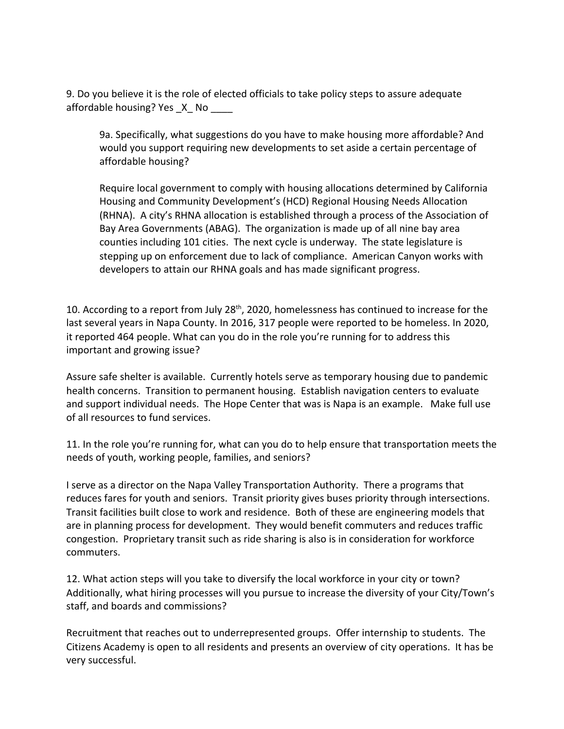9. Do you believe it is the role of elected officials to take policy steps to assure adequate affordable housing? Yes  $X$  No

9a. Specifically, what suggestions do you have to make housing more affordable? And would you support requiring new developments to set aside a certain percentage of affordable housing?

Require local government to comply with housing allocations determined by California Housing and Community Development's (HCD) Regional Housing Needs Allocation (RHNA). A city's RHNA allocation is established through a process of the Association of Bay Area Governments (ABAG). The organization is made up of all nine bay area counties including 101 cities. The next cycle is underway. The state legislature is stepping up on enforcement due to lack of compliance. American Canyon works with developers to attain our RHNA goals and has made significant progress.

10. According to a report from July 28<sup>th</sup>, 2020, homelessness has continued to increase for the last several years in Napa County. In 2016, 317 people were reported to be homeless. In 2020, it reported 464 people. What can you do in the role you're running for to address this important and growing issue?

Assure safe shelter is available. Currently hotels serve as temporary housing due to pandemic health concerns. Transition to permanent housing. Establish navigation centers to evaluate and support individual needs. The Hope Center that was is Napa is an example. Make full use of all resources to fund services.

11. In the role you're running for, what can you do to help ensure that transportation meets the needs of youth, working people, families, and seniors?

I serve as a director on the Napa Valley Transportation Authority. There a programs that reduces fares for youth and seniors. Transit priority gives buses priority through intersections. Transit facilities built close to work and residence. Both of these are engineering models that are in planning process for development. They would benefit commuters and reduces traffic congestion. Proprietary transit such as ride sharing is also is in consideration for workforce commuters.

12. What action steps will you take to diversify the local workforce in your city or town? Additionally, what hiring processes will you pursue to increase the diversity of your City/Town's staff, and boards and commissions?

Recruitment that reaches out to underrepresented groups. Offer internship to students. The Citizens Academy is open to all residents and presents an overview of city operations. It has be very successful.